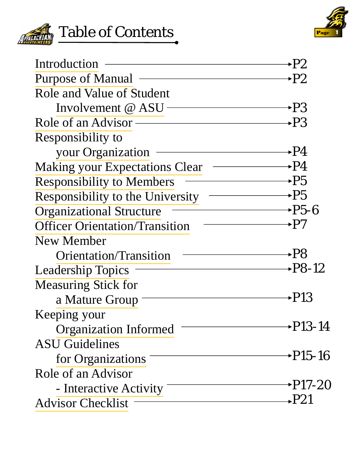



| Introduction                                                                                                                                                  | ►P2                      |
|---------------------------------------------------------------------------------------------------------------------------------------------------------------|--------------------------|
| <b>Purpose of Manual</b>                                                                                                                                      | +P2                      |
| Role and Value of Student                                                                                                                                     |                          |
| Involvement @ ASU                                                                                                                                             | →P3                      |
| Role of an Advisor ————————————————————                                                                                                                       | <b>→РЗ</b>               |
| Responsibility to                                                                                                                                             |                          |
| your Organization                                                                                                                                             | $\rightarrow$ P4         |
| <b>Making your Expectations Clear</b>                                                                                                                         | $\longrightarrow P4$     |
| <b>Responsibility to Members</b>                                                                                                                              | $\longrightarrow P5$     |
| Responsibility to the University                                                                                                                              | $\overline{\phantom{a}}$ |
| <b>Organizational Structure</b>                                                                                                                               | $\rightarrow P5-6$       |
| <u> Alexandria de la contrada de la contrada de la contrada de la contrada de la contrada de la contrada de la c</u><br><b>Officer Orientation/Transition</b> | +P7                      |
| New Member                                                                                                                                                    |                          |
| Orientation/Transition                                                                                                                                        | +P8                      |
| <b>Leadership Topics</b>                                                                                                                                      | <b>→P8-12</b>            |
| <b>Measuring Stick for</b>                                                                                                                                    |                          |
| a Mature Group $\equiv$                                                                                                                                       | •P13                     |
| Keeping your                                                                                                                                                  |                          |
| <b>Organization Informed</b>                                                                                                                                  | <b>→P13-14</b>           |
| <b>ASU</b> Guidelines                                                                                                                                         |                          |
| for Organizations                                                                                                                                             | <b>→P15-16</b>           |
| Role of an Advisor                                                                                                                                            |                          |
| - Interactive Activity                                                                                                                                        | →P17-20                  |
| <b>Advisor Checklist</b>                                                                                                                                      | →P21                     |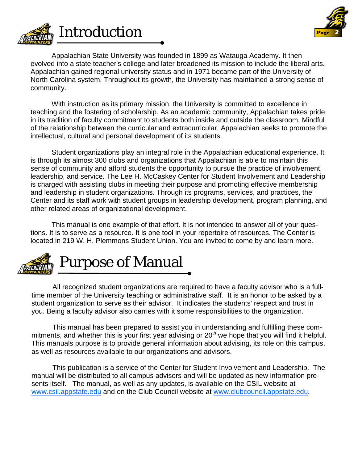<span id="page-1-0"></span>

 With instruction as its primary mission, the University is committed to excellence in teaching and the fostering of scholarship. As an academic community, Appalachian takes pride in its tradition of faculty commitment to students both inside and outside the classroom. Mindful of the relationship between the curricular and extracurricular, Appalachian seeks to promote the intellectual, cultural and personal development of its students.

 Student organizations play an integral role in the Appalachian educational experience. It is through its almost 300 clubs and organizations that Appalachian is able to maintain this sense of community and afford students the opportunity to pursue the practice of involvement, leadership, and service. The Lee H. McCaskey Center for Student Involvement and Leadership is charged with assisting clubs in meeting their purpose and promoting effective membership and leadership in student organizations. Through its programs, services, and practices, the Center and its staff work with student groups in leadership development, program planning, and other related areas of organizational development.

 This manual is one example of that effort. It is not intended to answer all of your questions. It is to serve as a resource. It is one tool in your repertoire of resources. The Center is located in 219 W. H. Plemmons Student Union. You are invited to come by and learn more.



**Introduction** 

 All recognized student organizations are required to have a faculty advisor who is a fulltime member of the University teaching or administrative staff. It is an honor to be asked by a student organization to serve as their advisor. It indicates the students' respect and trust in you. Being a faculty advisor also carries with it some responsibilities to the organization.

 This manual has been prepared to assist you in understanding and fulfilling these commitments, and whether this is your first year advising or 20<sup>th</sup> we hope that you will find it helpful. This manuals purpose is to provide general information about advising, its role on this campus, as well as resources available to our organizations and advisors.

 This publication is a service of the Center for Student Involvement and Leadership. The manual will be distributed to all campus advisors and will be updated as new information presents itself. The manual, as well as any updates, is available on the CSIL website at www.csil.appstate.edu and on the Club Council website at www.clubcouncil.appstate.edu.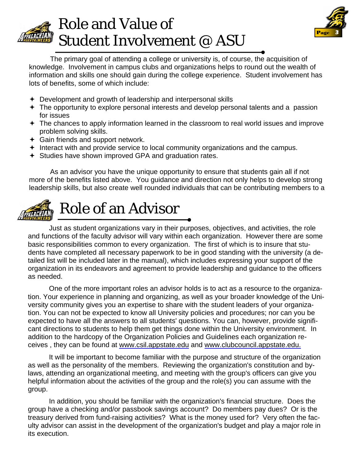<span id="page-2-0"></span>



 The primary goal of attending a college or university is, of course, the acquisition of knowledge. Involvement in campus clubs and organizations helps to round out the wealth of information and skills one should gain during the college experience. Student involvement has lots of benefits, some of which include:

- **←** Development and growth of leadership and interpersonal skills
- The opportunity to explore personal interests and develop personal talents and a passion for issues
- <sup>+</sup> The chances to apply information learned in the classroom to real world issues and improve problem solving skills.
- $\div$  Gain friends and support network.
- $+$  Interact with and provide service to local community organizations and the campus.
- Studies have shown improved GPA and graduation rates.

 As an advisor you have the unique opportunity to ensure that students gain all if not more of the benefits listed above. You guidance and direction not only helps to develop strong leadership skills, but also create well rounded individuals that can be contributing members to a

## Role of an Advisor

 Just as student organizations vary in their purposes, objectives, and activities, the role and functions of the faculty advisor will vary within each organization. However there are some basic responsibilities common to every organization. The first of which is to insure that students have completed all necessary paperwork to be in good standing with the university (a detailed list will be included later in the manual), which includes expressing your support of the organization in its endeavors and agreement to provide leadership and guidance to the officers as needed.

 One of the more important roles an advisor holds is to act as a resource to the organization. Your experience in planning and organizing, as well as your broader knowledge of the University community gives you an expertise to share with the student leaders of your organization. You can not be expected to know all University policies and procedures; nor can you be expected to have all the answers to all students' questions. You can, however, provide significant directions to students to help them get things done within the University environment. In addition to the hardcopy of the Organization Policies and Guidelines each organization receives , they can be found at www.csil.appstate.edu and www.clubcouncil.appstate.edu.

 It will be important to become familiar with the purpose and structure of the organization as well as the personality of the members. Reviewing the organization's constitution and bylaws, attending an organizational meeting, and meeting with the group's officers can give you helpful information about the activities of the group and the role(s) you can assume with the group.

 In addition, you should be familiar with the organization's financial structure. Does the group have a checking and/or passbook savings account? Do members pay dues? Or is the treasury derived from fund-raising activities? What is the money used for? Very often the faculty advisor can assist in the development of the organization's budget and play a major role in its execution.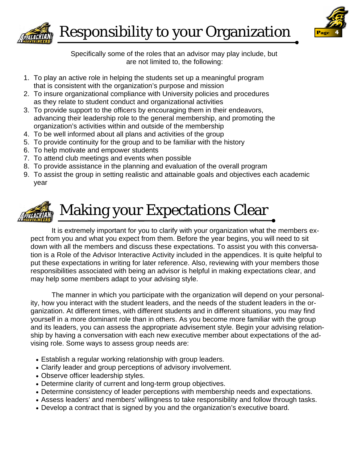

<span id="page-3-0"></span>

Responsibility to your Organization

Specifically some of the roles that an advisor may play include, but are not limited to, the following:

- 1. To play an active role in helping the students set up a meaningful program that is consistent with the organization's purpose and mission
- 2. To insure organizational compliance with University policies and procedures as they relate to student conduct and organizational activities
- 3. To provide support to the officers by encouraging them in their endeavors, advancing their leadership role to the general membership, and promoting the organization's activities within and outside of the membership
- 4. To be well informed about all plans and activities of the group
- 5. To provide continuity for the group and to be familiar with the history
- 6. To help motivate and empower students
- 7. To attend club meetings and events when possible
- 8. To provide assistance in the planning and evaluation of the overall program
- 9. To assist the group in setting realistic and attainable goals and objectives each academic year



## Making your Expectations Clear

It is extremely important for you to clarify with your organization what the members expect from you and what you expect from them. Before the year begins, you will need to sit down with all the members and discuss these expectations. To assist you with this conversation is a Role of the Advisor Interactive Activity included in the appendices. It is quite helpful to put these expectations in writing for later reference. Also, reviewing with your members those responsibilities associated with being an advisor is helpful in making expectations clear, and may help some members adapt to your advising style.

 The manner in which you participate with the organization will depend on your personality, how you interact with the student leaders, and the needs of the student leaders in the organization. At different times, with different students and in different situations, you may find yourself in a more dominant role than in others. As you become more familiar with the group and its leaders, you can assess the appropriate advisement style. Begin your advising relationship by having a conversation with each new executive member about expectations of the advising role. Some ways to assess group needs are:

- Establish a regular working relationship with group leaders.
- Clarify leader and group perceptions of advisory involvement.
- Observe officer leadership styles.
- Determine clarity of current and long-term group objectives.
- Determine consistency of leader perceptions with membership needs and expectations.
- Assess leaders' and members' willingness to take responsibility and follow through tasks.
- Develop a contract that is signed by you and the organization's executive board.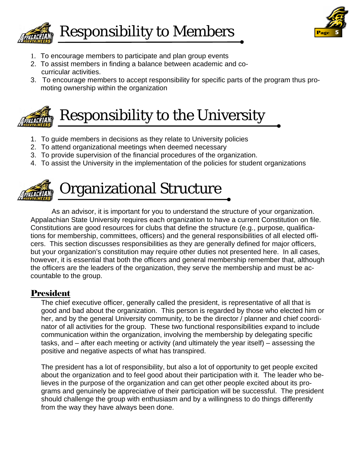<span id="page-4-0"></span>



- 1. To encourage members to participate and plan group events
- 2. To assist members in finding a balance between academic and cocurricular activities.
- 3. To encourage members to accept responsibility for specific parts of the program thus promoting ownership within the organization



## Responsibility to the University

- 1. To guide members in decisions as they relate to University policies
- 2. To attend organizational meetings when deemed necessary
- 3. To provide supervision of the financial procedures of the organization.
- 4. To assist the University in the implementation of the policies for student organizations



## Organizational Structure

 As an advisor, it is important for you to understand the structure of your organization. Appalachian State University requires each organization to have a current Constitution on file. Constitutions are good resources for clubs that define the structure (e.g., purpose, qualifications for membership, committees, officers) and the general responsibilities of all elected officers. This section discusses responsibilities as they are generally defined for major officers, but your organization's constitution may require other duties not presented here. In all cases, however, it is essential that both the officers and general membership remember that, although the officers are the leaders of the organization, they serve the membership and must be accountable to the group.

## President

The chief executive officer, generally called the president, is representative of all that is good and bad about the organization. This person is regarded by those who elected him or her, and by the general University community, to be the director / planner and chief coordinator of all activities for the group. These two functional responsibilities expand to include communication within the organization, involving the membership by delegating specific tasks, and – after each meeting or activity (and ultimately the year itself) – assessing the positive and negative aspects of what has transpired.

The president has a lot of responsibility, but also a lot of opportunity to get people excited about the organization and to feel good about their participation with it. The leader who believes in the purpose of the organization and can get other people excited about its programs and genuinely be appreciative of their participation will be successful. The president should challenge the group with enthusiasm and by a willingness to do things differently from the way they have always been done.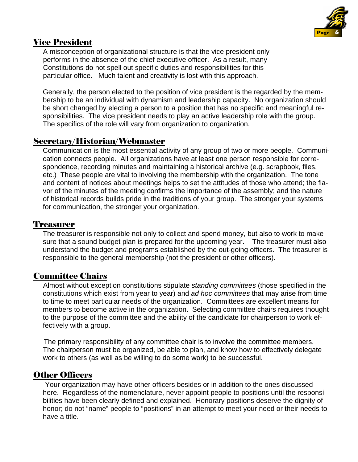

## Vice President

 A misconception of organizational structure is that the vice president only performs in the absence of the chief executive officer. As a result, many Constitutions do not spell out specific duties and responsibilities for this particular office. Much talent and creativity is lost with this approach.

Generally, the person elected to the position of vice president is the regarded by the membership to be an individual with dynamism and leadership capacity. No organization should be short changed by electing a person to a position that has no specific and meaningful responsibilities. The vice president needs to play an active leadership role with the group. The specifics of the role will vary from organization to organization.

## Secretary/Historian/Webmaster

Communication is the most essential activity of any group of two or more people. Communication connects people. All organizations have at least one person responsible for correspondence, recording minutes and maintaining a historical archive (e.g. scrapbook, files, etc.) These people are vital to involving the membership with the organization. The tone and content of notices about meetings helps to set the attitudes of those who attend; the flavor of the minutes of the meeting confirms the importance of the assembly; and the nature of historical records builds pride in the traditions of your group. The stronger your systems for communication, the stronger your organization.

#### Treasurer

The treasurer is responsible not only to collect and spend money, but also to work to make sure that a sound budget plan is prepared for the upcoming year. The treasurer must also understand the budget and programs established by the out-going officers. The treasurer is responsible to the general membership (not the president or other officers).

## Committee Chairs

 Almost without exception constitutions stipulate *standing committees* (those specified in the constitutions which exist from year to year) and *ad hoc committees* that may arise from time to time to meet particular needs of the organization. Committees are excellent means for members to become active in the organization. Selecting committee chairs requires thought to the purpose of the committee and the ability of the candidate for chairperson to work effectively with a group.

The primary responsibility of any committee chair is to involve the committee members. The chairperson must be organized, be able to plan, and know how to effectively delegate work to others (as well as be willing to do some work) to be successful.

## Other Officers

Your organization may have other officers besides or in addition to the ones discussed here. Regardless of the nomenclature, never appoint people to positions until the responsibilities have been clearly defined and explained. Honorary positions deserve the dignity of honor; do not "name" people to "positions" in an attempt to meet your need or their needs to have a title.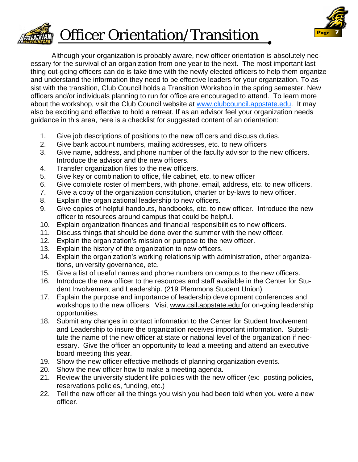<span id="page-6-0"></span>



 Although your organization is probably aware, new officer orientation is absolutely necessary for the survival of an organization from one year to the next. The most important last thing out-going officers can do is take time with the newly elected officers to help them organize and understand the information they need to be effective leaders for your organization. To assist with the transition, Club Council holds a Transition Workshop in the spring semester. New officers and/or individuals planning to run for office are encouraged to attend. To learn more about the workshop, visit the Club Council website at www.clubcouncil.appstate.edu. It may also be exciting and effective to hold a retreat. If as an advisor feel your organization needs guidance in this area, here is a checklist for suggested content of an orientation:

- 1. Give job descriptions of positions to the new officers and discuss duties.
- 2. Give bank account numbers, mailing addresses, etc. to new officers
- 3. Give name, address, and phone number of the faculty advisor to the new officers. Introduce the advisor and the new officers.
- 4. Transfer organization files to the new officers.
- 5. Give key or combination to office, file cabinet, etc. to new officer
- 6. Give complete roster of members, with phone, email, address, etc. to new officers.
- 7. Give a copy of the organization constitution, charter or by-laws to new officer.
- 8. Explain the organizational leadership to new officers.
- 9. Give copies of helpful handouts, handbooks, etc. to new officer. Introduce the new officer to resources around campus that could be helpful.
- 10. Explain organization finances and financial responsibilities to new officers.
- 11. Discuss things that should be done over the summer with the new officer.
- 12. Explain the organization's mission or purpose to the new officer.
- 13. Explain the history of the organization to new officers.
- 14. Explain the organization's working relationship with administration, other organizations, university governance, etc.
- 15. Give a list of useful names and phone numbers on campus to the new officers.
- 16. Introduce the new officer to the resources and staff available in the Center for Student Involvement and Leadership. (219 Plemmons Student Union)
- 17. Explain the purpose and importance of leadership development conferences and workshops to the new officers. Visit <www.csil.appstate.edu> for on-going leadership opportunities.
- 18. Submit any changes in contact information to the Center for Student Involvement and Leadership to insure the organization receives important information. Substitute the name of the new officer at state or national level of the organization if necessary. Give the officer an opportunity to lead a meeting and attend an executive board meeting this year.
- 19. Show the new officer effective methods of planning organization events.
- 20. Show the new officer how to make a meeting agenda.
- 21. Review the university student life policies with the new officer (ex: posting policies, reservations policies, funding, etc.)
- 22. Tell the new officer all the things you wish you had been told when you were a new officer.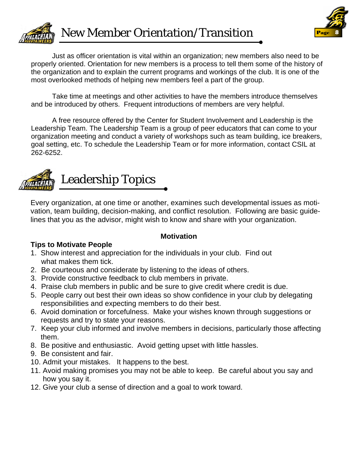<span id="page-7-0"></span>



 Just as officer orientation is vital within an organization; new members also need to be properly oriented. Orientation for new members is a process to tell them some of the history of the organization and to explain the current programs and workings of the club. It is one of the most overlooked methods of helping new members feel a part of the group.

 Take time at meetings and other activities to have the members introduce themselves and be introduced by others. Frequent introductions of members are very helpful.

 A free resource offered by the Center for Student Involvement and Leadership is the Leadership Team. The Leadership Team is a group of peer educators that can come to your organization meeting and conduct a variety of workshops such as team building, ice breakers, goal setting, etc. To schedule the Leadership Team or for more information, contact CSIL at 262-6252.



## Leadership Topics

Every organization, at one time or another, examines such developmental issues as motivation, team building, decision-making, and conflict resolution. Following are basic guidelines that you as the advisor, might wish to know and share with your organization.

## **Tips to Motivate People**

## **Motivation**

- 1. Show interest and appreciation for the individuals in your club. Find out what makes them tick.
- 2. Be courteous and considerate by listening to the ideas of others.
- 3. Provide constructive feedback to club members in private.
- 4. Praise club members in public and be sure to give credit where credit is due.
- 5. People carry out best their own ideas so show confidence in your club by delegating responsibilities and expecting members to do their best.
- 6. Avoid domination or forcefulness. Make your wishes known through suggestions or requests and try to state your reasons.
- 7. Keep your club informed and involve members in decisions, particularly those affecting them.
- 8. Be positive and enthusiastic. Avoid getting upset with little hassles.
- 9. Be consistent and fair.
- 10. Admit your mistakes. It happens to the best.
- 11. Avoid making promises you may not be able to keep. Be careful about you say and how you say it.
- 12. Give your club a sense of direction and a goal to work toward.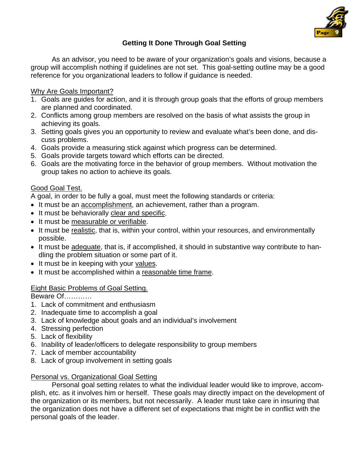

## **Getting It Done Through Goal Setting**

 As an advisor, you need to be aware of your organization's goals and visions, because a group will accomplish nothing if guidelines are not set. This goal-setting outline may be a good reference for you organizational leaders to follow if guidance is needed.

#### Why Are Goals Important?

- 1. Goals are guides for action, and it is through group goals that the efforts of group members are planned and coordinated.
- 2. Conflicts among group members are resolved on the basis of what assists the group in achieving its goals.
- 3. Setting goals gives you an opportunity to review and evaluate what's been done, and discuss problems.
- 4. Goals provide a measuring stick against which progress can be determined.
- 5. Goals provide targets toward which efforts can be directed.
- 6. Goals are the motivating force in the behavior of group members. Without motivation the group takes no action to achieve its goals.

#### Good Goal Test.

A goal, in order to be fully a goal, must meet the following standards or criteria:

- It must be an accomplishment, an achievement, rather than a program.
- It must be behaviorally clear and specific.
- It must be measurable or verifiable.
- It must be realistic, that is, within your control, within your resources, and environmentally possible.
- It must be adequate, that is, if accomplished, it should in substantive way contribute to handling the problem situation or some part of it.
- It must be in keeping with your values.
- It must be accomplished within a reasonable time frame.

#### Eight Basic Problems of Goal Setting.

Beware Of…………

- 1. Lack of commitment and enthusiasm
- 2. Inadequate time to accomplish a goal
- 3. Lack of knowledge about goals and an individual's involvement
- 4. Stressing perfection
- 5. Lack of flexibility
- 6. Inability of leader/officers to delegate responsibility to group members
- 7. Lack of member accountability
- 8. Lack of group involvement in setting goals

#### Personal vs. Organizational Goal Setting

 Personal goal setting relates to what the individual leader would like to improve, accomplish, etc. as it involves him or herself. These goals may directly impact on the development of the organization or its members, but not necessarily. A leader must take care in insuring that the organization does not have a different set of expectations that might be in conflict with the personal goals of the leader.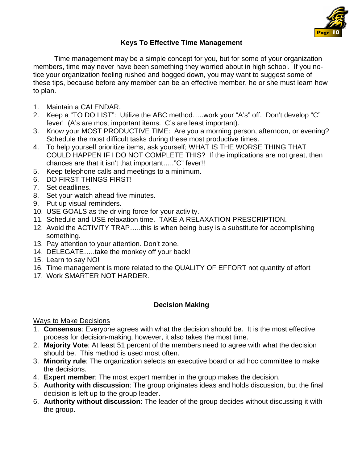

## **Keys To Effective Time Management**

 Time management may be a simple concept for you, but for some of your organization members, time may never have been something they worried about in high school. If you notice your organization feeling rushed and bogged down, you may want to suggest some of these tips, because before any member can be an effective member, he or she must learn how to plan.

- 1. Maintain a CALENDAR.
- 2. Keep a "TO DO LIST": Utilize the ABC method…..work your "A's" off. Don't develop "C" fever! (A's are most important items. C's are least important).
- 3. Know your MOST PRODUCTIVE TIME: Are you a morning person, afternoon, or evening? Schedule the most difficult tasks during these most productive times.
- 4. To help yourself prioritize items, ask yourself; WHAT IS THE WORSE THING THAT COULD HAPPEN IF I DO NOT COMPLETE THIS? If the implications are not great, then chances are that it isn't that important….."C" fever!!
- 5. Keep telephone calls and meetings to a minimum.
- 6. DO FIRST THINGS FIRST!
- 7. Set deadlines.
- 8. Set your watch ahead five minutes.
- 9. Put up visual reminders.
- 10. USE GOALS as the driving force for your activity.
- 11. Schedule and USE relaxation time. TAKE A RELAXATION PRESCRIPTION.
- 12. Avoid the ACTIVITY TRAP…..this is when being busy is a substitute for accomplishing something.
- 13. Pay attention to your attention. Don't zone.
- 14. DELEGATE…..take the monkey off your back!
- 15. Learn to say NO!
- 16. Time management is more related to the QUALITY OF EFFORT not quantity of effort
- 17. Work SMARTER NOT HARDER.

#### **Decision Making**

#### Ways to Make Decisions

- 1. **Consensus**: Everyone agrees with what the decision should be. It is the most effective process for decision-making, however, it also takes the most time.
- 2. **Majority Vote**: At least 51 percent of the members need to agree with what the decision should be. This method is used most often.
- 3. **Minority rule**: The organization selects an executive board or ad hoc committee to make the decisions.
- 4. **Expert member**: The most expert member in the group makes the decision.
- 5. **Authority with discussion**: The group originates ideas and holds discussion, but the final decision is left up to the group leader.
- 6. **Authority without discussion:** The leader of the group decides without discussing it with the group.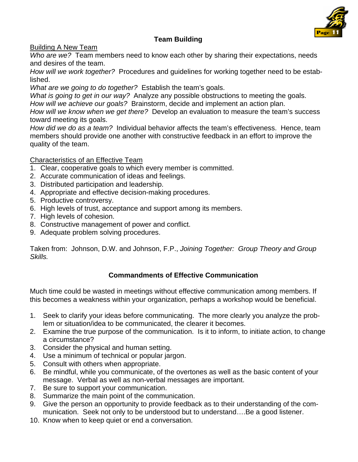

#### **Team Building**

Building A New Team

*Who are we?* Team members need to know each other by sharing their expectations, needs and desires of the team.

*How will we work together?* Procedures and guidelines for working together need to be established.

*What are we going to do together?* Establish the team's goals.

*What is going to get in our way?* Analyze any possible obstructions to meeting the goals. *How will we achieve our goals?* Brainstorm, decide and implement an action plan.

*How will we know when we get there?* Develop an evaluation to measure the team's success toward meeting its goals.

*How did we do as a team?* Individual behavior affects the team's effectiveness. Hence, team members should provide one another with constructive feedback in an effort to improve the quality of the team.

#### Characteristics of an Effective Team

- 1. Clear, cooperative goals to which every member is committed.
- 2. Accurate communication of ideas and feelings.
- 3. Distributed participation and leadership.
- 4. Appropriate and effective decision-making procedures.
- 5. Productive controversy.
- 6. High levels of trust, acceptance and support among its members.
- 7. High levels of cohesion.
- 8. Constructive management of power and conflict.
- 9. Adequate problem solving procedures.

Taken from: Johnson, D.W. and Johnson, F.P., *Joining Together: Group Theory and Group Skills.* 

#### **Commandments of Effective Communication**

Much time could be wasted in meetings without effective communication among members. If this becomes a weakness within your organization, perhaps a workshop would be beneficial.

- 1. Seek to clarify your ideas before communicating. The more clearly you analyze the problem or situation/idea to be communicated, the clearer it becomes.
- 2. Examine the true purpose of the communication. Is it to inform, to initiate action, to change a circumstance?
- 3. Consider the physical and human setting.
- 4. Use a minimum of technical or popular jargon.
- 5. Consult with others when appropriate.
- 6. Be mindful, while you communicate, of the overtones as well as the basic content of your message. Verbal as well as non-verbal messages are important.
- 7. Be sure to support your communication.
- 8. Summarize the main point of the communication.
- 9. Give the person an opportunity to provide feedback as to their understanding of the communication. Seek not only to be understood but to understand….Be a good listener.
- 10. Know when to keep quiet or end a conversation.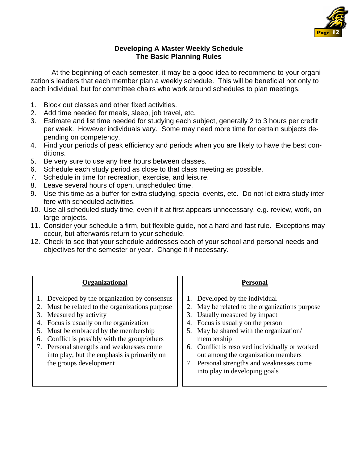

#### **Developing A Master Weekly Schedule The Basic Planning Rules**

 At the beginning of each semester, it may be a good idea to recommend to your organization's leaders that each member plan a weekly schedule. This will be beneficial not only to each individual, but for committee chairs who work around schedules to plan meetings.

- 1. Block out classes and other fixed activities.
- 2. Add time needed for meals, sleep, job travel, etc.
- 3. Estimate and list time needed for studying each subject, generally 2 to 3 hours per credit per week. However individuals vary. Some may need more time for certain subjects depending on competency.
- 4. Find your periods of peak efficiency and periods when you are likely to have the best conditions.
- 5. Be very sure to use any free hours between classes.
- 6. Schedule each study period as close to that class meeting as possible.
- 7. Schedule in time for recreation, exercise, and leisure.
- 8. Leave several hours of open, unscheduled time.
- 9. Use this time as a buffer for extra studying, special events, etc. Do not let extra study interfere with scheduled activities.
- 10. Use all scheduled study time, even if it at first appears unnecessary, e.g. review, work, on large projects.
- 11. Consider your schedule a firm, but flexible guide, not a hard and fast rule. Exceptions may occur, but afterwards return to your schedule.
- 12. Check to see that your schedule addresses each of your school and personal needs and objectives for the semester or year. Change it if necessary.

#### **Organizational**

- 1. Developed by the organization by consensus
- 2. Must be related to the organizations purpose
- 3. Measured by activity
- 4. Focus is usually on the organization
- 5. Must be embraced by the membership
- 6. Conflict is possibly with the group/others
- 7. Personal strengths and weaknesses come into play, but the emphasis is primarily on the groups development

#### **Personal**

- 1. Developed by the individual
- 2. May be related to the organizations purpose
- 3. Usually measured by impact
- 4. Focus is usually on the person
- 5. May be shared with the organization/ membership
- 6. Conflict is resolved individually or worked out among the organization members
- 7. Personal strengths and weaknesses come into play in developing goals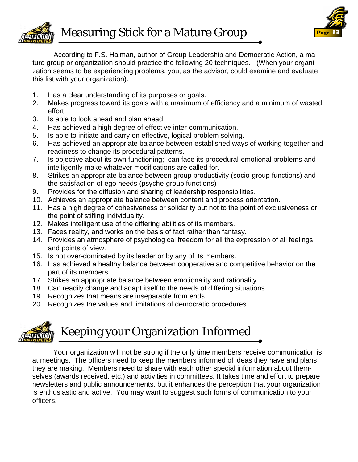<span id="page-12-0"></span>



 According to F.S. Haiman, author of Group Leadership and Democratic Action, a mature group or organization should practice the following 20 techniques. (When your organization seems to be experiencing problems, you, as the advisor, could examine and evaluate this list with your organization).

- 1. Has a clear understanding of its purposes or goals.
- 2. Makes progress toward its goals with a maximum of efficiency and a minimum of wasted effort.
- 3. Is able to look ahead and plan ahead.
- 4. Has achieved a high degree of effective inter-communication.
- 5. Is able to initiate and carry on effective, logical problem solving.
- 6. Has achieved an appropriate balance between established ways of working together and readiness to change its procedural patterns.
- 7. Is objective about its own functioning; can face its procedural-emotional problems and intelligently make whatever modifications are called for.
- 8. Strikes an appropriate balance between group productivity (socio-group functions) and the satisfaction of ego needs (psyche-group functions)
- 9. Provides for the diffusion and sharing of leadership responsibilities.
- 10. Achieves an appropriate balance between content and process orientation.
- 11. Has a high degree of cohesiveness or solidarity but not to the point of exclusiveness or the point of stifling individuality.
- 12. Makes intelligent use of the differing abilities of its members.
- 13. Faces reality, and works on the basis of fact rather than fantasy.
- 14. Provides an atmosphere of psychological freedom for all the expression of all feelings and points of view.
- 15. Is not over-dominated by its leader or by any of its members.
- 16. Has achieved a healthy balance between cooperative and competitive behavior on the part of its members.
- 17. Strikes an appropriate balance between emotionality and rationality.
- 18. Can readily change and adapt itself to the needs of differing situations.
- 19. Recognizes that means are inseparable from ends.
- 20. Recognizes the values and limitations of democratic procedures.

# Keeping your Organization Informed

 Your organization will not be strong if the only time members receive communication is at meetings. The officers need to keep the members informed of ideas they have and plans they are making. Members need to share with each other special information about themselves (awards received, etc.) and activities in committees. It takes time and effort to prepare newsletters and public announcements, but it enhances the perception that your organization is enthusiastic and active. You may want to suggest such forms of communication to your officers.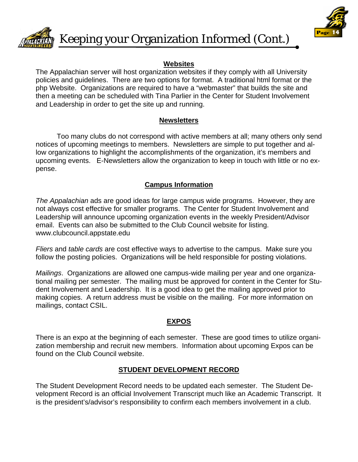<span id="page-13-0"></span>



**Keeping your Organization Informed (Cont.)** 

#### **Websites**

The Appalachian server will host organization websites if they comply with all University policies and guidelines. There are two options for format. A traditional html format or the php Website. Organizations are required to have a "webmaster" that builds the site and then a meeting can be scheduled with Tina Parlier in the Center for Student Involvement and Leadership in order to get the site up and running.

#### **Newsletters**

 Too many clubs do not correspond with active members at all; many others only send notices of upcoming meetings to members. Newsletters are simple to put together and allow organizations to highlight the accomplishments of the organization, it's members and upcoming events. E-Newsletters allow the organization to keep in touch with little or no expense.

#### **Campus Information**

*The Appalachian* ads are good ideas for large campus wide programs. However, they are not always cost effective for smaller programs. The Center for Student Involvement and Leadership will announce upcoming organization events in the weekly President/Advisor email. Events can also be submitted to the Club Council website for listing. www.clubcouncil.appstate.edu

*Fliers* and *table cards* are cost effective ways to advertise to the campus. Make sure you follow the posting policies. Organizations will be held responsible for posting violations.

*Mailings*. Organizations are allowed one campus-wide mailing per year and one organizational mailing per semester. The mailing must be approved for content in the Center for Student Involvement and Leadership. It is a good idea to get the mailing approved prior to making copies. A return address must be visible on the mailing. For more information on mailings, contact CSIL.

## **EXPOS**

There is an expo at the beginning of each semester. These are good times to utilize organization membership and recruit new members. Information about upcoming Expos can be found on the Club Council website.

#### **STUDENT DEVELOPMENT RECORD**

The Student Development Record needs to be updated each semester. The Student Development Record is an official Involvement Transcript much like an Academic Transcript. It is the president's/advisor's responsibility to confirm each members involvement in a club.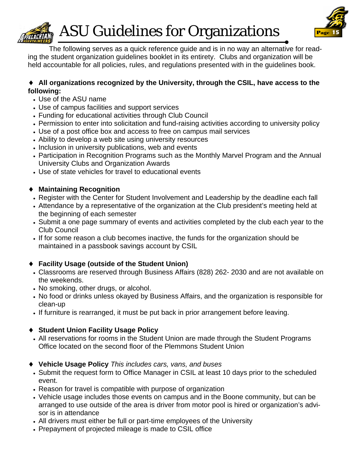<span id="page-14-0"></span>

**ASU Guidelines for Organizations** 



 The following serves as a quick reference guide and is in no way an alternative for reading the student organization guidelines booklet in its entirety. Clubs and organization will be held accountable for all policies, rules, and regulations presented with in the guidelines book.

#### ♦ **All organizations recognized by the University, through the CSIL, have access to the following:**

- Use of the ASU name
- Use of campus facilities and support services
- Funding for educational activities through Club Council
- Permission to enter into solicitation and fund-raising activities according to university policy
- Use of a post office box and access to free on campus mail services
- Ability to develop a web site using university resources
- Inclusion in university publications, web and events
- Participation in Recognition Programs such as the Monthly Marvel Program and the Annual University Clubs and Organization Awards
- Use of state vehicles for travel to educational events

## ♦ **Maintaining Recognition**

- Register with the Center for Student Involvement and Leadership by the deadline each fall
- Attendance by a representative of the organization at the Club president's meeting held at the beginning of each semester
- Submit a one page summary of events and activities completed by the club each year to the Club Council
- If for some reason a club becomes inactive, the funds for the organization should be maintained in a passbook savings account by CSIL

## ♦ **Facility Usage (outside of the Student Union)**

- Classrooms are reserved through Business Affairs (828) 262- 2030 and are not available on the weekends.
- No smoking, other drugs, or alcohol.
- No food or drinks unless okayed by Business Affairs, and the organization is responsible for clean-up
- If furniture is rearranged, it must be put back in prior arrangement before leaving.

## ♦ **Student Union Facility Usage Policy**

- All reservations for rooms in the Student Union are made through the Student Programs Office located on the second floor of the Plemmons Student Union
- ♦ **Vehicle Usage Policy** *This includes cars, vans, and buses*
- Submit the request form to Office Manager in CSIL at least 10 days prior to the scheduled event.
- Reason for travel is compatible with purpose of organization
- Vehicle usage includes those events on campus and in the Boone community, but can be arranged to use outside of the area is driver from motor pool is hired or organization's advisor is in attendance
- All drivers must either be full or part-time employees of the University
- Prepayment of projected mileage is made to CSIL office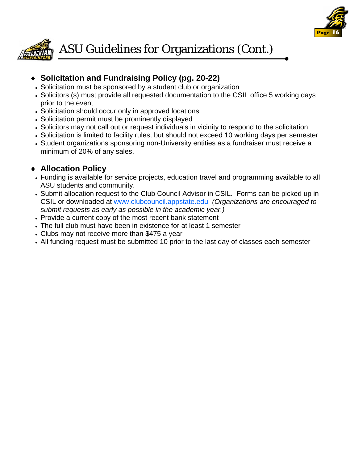



## ♦ **Solicitation and Fundraising Policy (pg. 20-22)**

- Solicitation must be sponsored by a student club or organization
- Solicitors (s) must provide all requested documentation to the CSIL office 5 working days prior to the event
- Solicitation should occur only in approved locations
- Solicitation permit must be prominently displayed
- Solicitors may not call out or request individuals in vicinity to respond to the solicitation
- Solicitation is limited to facility rules, but should not exceed 10 working days per semester
- Student organizations sponsoring non-University entities as a fundraiser must receive a minimum of 20% of any sales.

## ♦ **Allocation Policy**

- Funding is available for service projects, education travel and programming available to all ASU students and community.
- Submit allocation request to the Club Council Advisor in CSIL. Forms can be picked up in CSIL or downloaded at www.clubcouncil.appstate.edu *(Organizations are encouraged to submit requests as early as possible in the academic year.)*
- Provide a current copy of the most recent bank statement
- The full club must have been in existence for at least 1 semester
- Clubs may not receive more than \$475 a year
- All funding request must be submitted 10 prior to the last day of classes each semester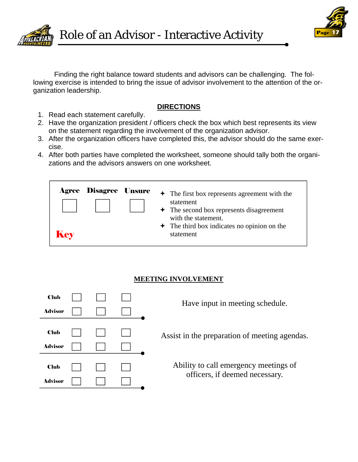<span id="page-16-0"></span>



 Finding the right balance toward students and advisors can be challenging. The following exercise is intended to bring the issue of advisor involvement to the attention of the organization leadership.

#### **DIRECTIONS**

- 1. Read each statement carefully.
- 2. Have the organization president / officers check the box which best represents its view on the statement regarding the involvement of the organization advisor.
- 3. After the organization officers have completed this, the advisor should do the same exercise.
- 4. After both parties have completed the worksheet, someone should tally both the organizations and the advisors answers on one worksheet.

|     | <b>Agree Disagree Unsure</b> | $\div$ The first box represents agreement with the                                |
|-----|------------------------------|-----------------------------------------------------------------------------------|
|     |                              | statement<br>$\div$ The second box represents disagreement<br>with the statement. |
| Key |                              | $\div$ The third box indicates no opinion on the<br>statement                     |

## **MEETING INVOLVEMENT**

| <b>Club</b>    |  |  | Have input in meeting schedule.               |
|----------------|--|--|-----------------------------------------------|
| <b>Advisor</b> |  |  |                                               |
|                |  |  |                                               |
| <b>Club</b>    |  |  | Assist in the preparation of meeting agendas. |
| <b>Advisor</b> |  |  |                                               |
|                |  |  |                                               |
| <b>Club</b>    |  |  | Ability to call emergency meetings of         |
| <b>Advisor</b> |  |  | officers, if deemed necessary.                |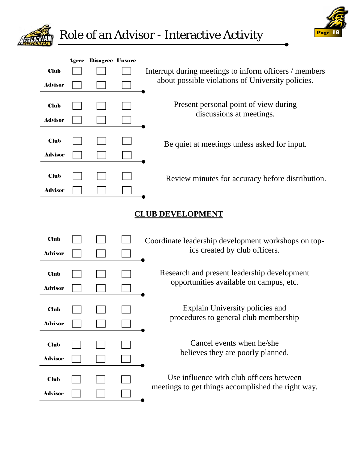



| <b>Club</b><br><b>Advisor</b><br><b>Club</b><br><b>Advisor</b><br><b>Club</b><br><b>Advisor</b> |                         | <b>Agree Disagree Unsure</b> |  | Interrupt during meetings to inform officers / members<br>about possible violations of University policies.<br>Present personal point of view during<br>discussions at meetings.<br>Be quiet at meetings unless asked for input. |  |  |  |  |
|-------------------------------------------------------------------------------------------------|-------------------------|------------------------------|--|----------------------------------------------------------------------------------------------------------------------------------------------------------------------------------------------------------------------------------|--|--|--|--|
| <b>Club</b><br><b>Advisor</b>                                                                   |                         |                              |  | Review minutes for accuracy before distribution.                                                                                                                                                                                 |  |  |  |  |
|                                                                                                 | <b>CLUB DEVELOPMENT</b> |                              |  |                                                                                                                                                                                                                                  |  |  |  |  |
| <b>Club</b><br><b>Advisor</b>                                                                   |                         |                              |  | Coordinate leadership development workshops on top-<br>ics created by club officers.                                                                                                                                             |  |  |  |  |
| <b>Club</b><br><b>Advisor</b>                                                                   |                         |                              |  | Research and present leadership development<br>opportunities available on campus, etc.                                                                                                                                           |  |  |  |  |
| <b>Club</b><br><b>Advisor</b>                                                                   |                         |                              |  | Explain University policies and<br>procedures to general club membership                                                                                                                                                         |  |  |  |  |
| <b>Club</b><br><b>Advisor</b>                                                                   |                         |                              |  | Cancel events when he/she<br>believes they are poorly planned.                                                                                                                                                                   |  |  |  |  |
| <b>Club</b><br>Advisor                                                                          |                         |                              |  | Use influence with club officers between<br>meetings to get things accomplished the right way.                                                                                                                                   |  |  |  |  |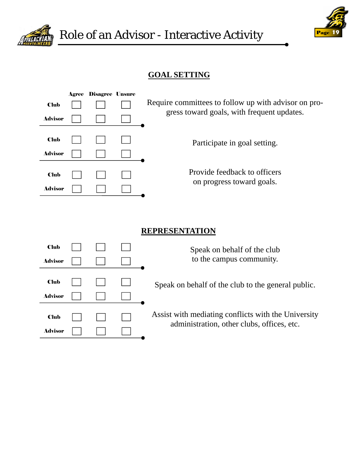



## **GOAL SETTING**

|                | Agree | <b>Disagree Unsure</b> |                                                      |
|----------------|-------|------------------------|------------------------------------------------------|
| <b>Club</b>    |       |                        | Require committees to follow up with advisor on pro- |
| <b>Advisor</b> |       |                        | gress toward goals, with frequent updates.           |
|                |       |                        |                                                      |
| <b>Club</b>    |       |                        | Participate in goal setting.                         |
| <b>Advisor</b> |       |                        |                                                      |
|                |       |                        |                                                      |
| <b>Club</b>    |       |                        | Provide feedback to officers                         |
| <b>Advisor</b> |       |                        | on progress toward goals.                            |

## **REPRESENTATION**

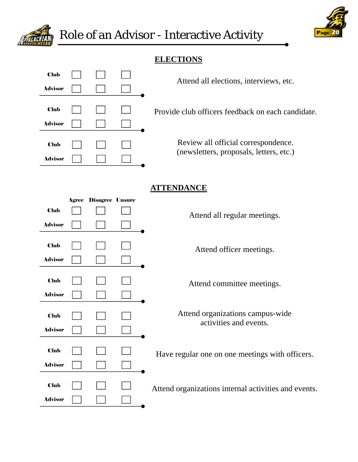

## **ELECTIONS**

| <b>Club</b>    |  |       |
|----------------|--|-------|
| <b>Advisor</b> |  |       |
| <b>Club</b>    |  | Provi |
| <b>Advisor</b> |  |       |
| <b>Club</b>    |  |       |
| <b>Advisor</b> |  |       |

Attend all elections, interviews, etc.

ide club officers feedback on each candidate.

Review all official correspondence. (newsletters, proposals, letters, etc.)

## **ATTENDANCE**

|                               | <b>Agree Disagree Unsure</b> |                                                            |
|-------------------------------|------------------------------|------------------------------------------------------------|
| <b>Club</b>                   |                              | Attend all regular meetings.                               |
| <b>Advisor</b>                |                              |                                                            |
| <b>Club</b><br><b>Advisor</b> |                              | Attend officer meetings.                                   |
| <b>Club</b><br><b>Advisor</b> |                              | Attend committee meetings.                                 |
| <b>Club</b><br><b>Advisor</b> |                              | Attend organizations campus-wide<br>activities and events. |
| <b>Club</b><br><b>Advisor</b> |                              | Have regular one on one meetings with officers.            |
| <b>Club</b><br><b>Advisor</b> |                              | Attend organizations internal activities and events.       |